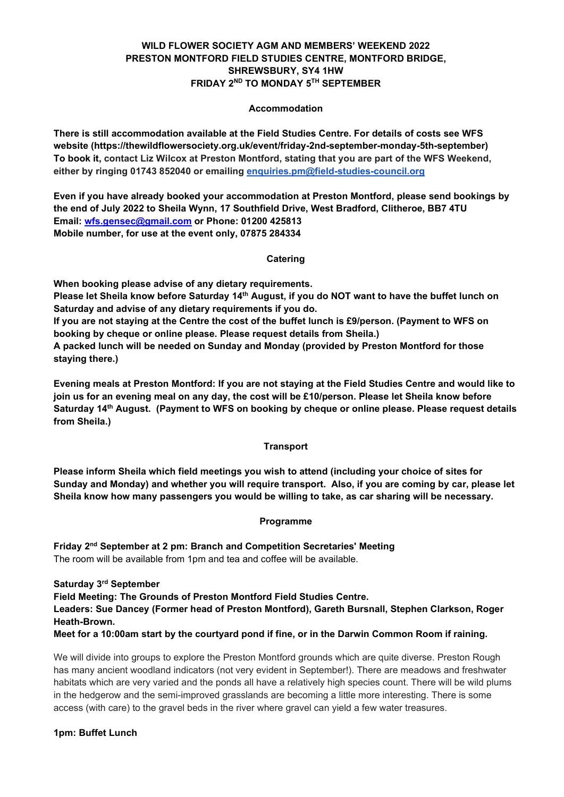# WILD FLOWER SOCIETY AGM AND MEMBERS' WEEKEND 2022 PRESTON MONTFORD FIELD STUDIES CENTRE, MONTFORD BRIDGE, SHREWSBURY, SY4 1HW FRIDAY 2ND TO MONDAY 5TH SEPTEMBER

## Accommodation

There is still accommodation available at the Field Studies Centre. For details of costs see WFS website (https://thewildflowersociety.org.uk/event/friday-2nd-september-monday-5th-september) To book it, contact Liz Wilcox at Preston Montford, stating that you are part of the WFS Weekend, either by ringing 01743 852040 or emailing enquiries.pm@field-studies-council.org

Even if you have already booked your accommodation at Preston Montford, please send bookings by the end of July 2022 to Sheila Wynn, 17 Southfield Drive, West Bradford, Clitheroe, BB7 4TU Email: wfs.gensec@gmail.com or Phone: 01200 425813 Mobile number, for use at the event only, 07875 284334

## Catering

When booking please advise of any dietary requirements.

Please let Sheila know before Saturday 14th August, if you do NOT want to have the buffet lunch on Saturday and advise of any dietary requirements if you do.

If you are not staying at the Centre the cost of the buffet lunch is £9/person. (Payment to WFS on booking by cheque or online please. Please request details from Sheila.)

A packed lunch will be needed on Sunday and Monday (provided by Preston Montford for those staying there.)

Evening meals at Preston Montford: If you are not staying at the Field Studies Centre and would like to join us for an evening meal on any day, the cost will be £10/person. Please let Sheila know before Saturday 14<sup>th</sup> August. (Payment to WFS on booking by cheque or online please. Please request details from Sheila.)

## **Transport**

Please inform Sheila which field meetings you wish to attend (including your choice of sites for Sunday and Monday) and whether you will require transport. Also, if you are coming by car, please let Sheila know how many passengers you would be willing to take, as car sharing will be necessary.

## **Programme**

Friday 2<sup>nd</sup> September at 2 pm: Branch and Competition Secretaries' Meeting The room will be available from 1pm and tea and coffee will be available.

Saturday 3rd September Field Meeting: The Grounds of Preston Montford Field Studies Centre. Leaders: Sue Dancey (Former head of Preston Montford), Gareth Bursnall, Stephen Clarkson, Roger Heath-Brown. Meet for a 10:00am start by the courtyard pond if fine, or in the Darwin Common Room if raining.

We will divide into groups to explore the Preston Montford grounds which are quite diverse. Preston Rough has many ancient woodland indicators (not very evident in September!). There are meadows and freshwater habitats which are very varied and the ponds all have a relatively high species count. There will be wild plums in the hedgerow and the semi-improved grasslands are becoming a little more interesting. There is some access (with care) to the gravel beds in the river where gravel can yield a few water treasures.

## 1pm: Buffet Lunch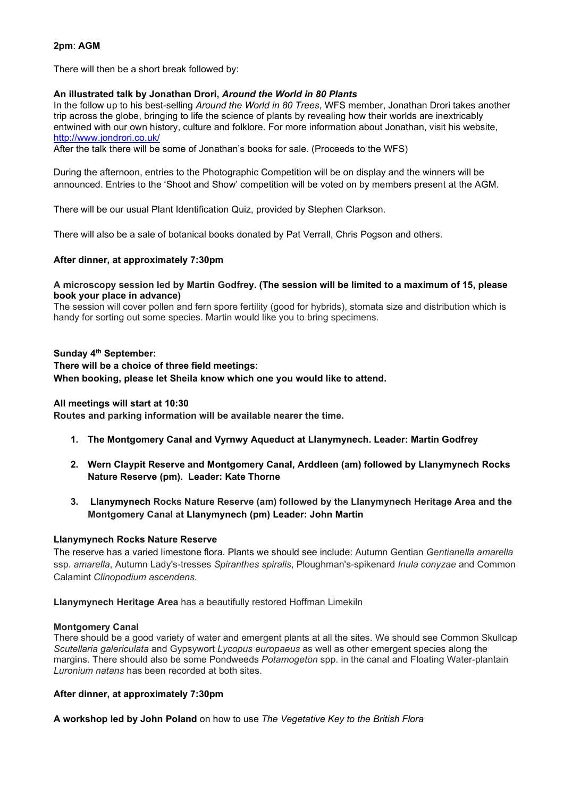## 2pm: AGM

There will then be a short break followed by:

## An illustrated talk by Jonathan Drori, Around the World in 80 Plants

In the follow up to his best-selling Around the World in 80 Trees, WFS member, Jonathan Drori takes another trip across the globe, bringing to life the science of plants by revealing how their worlds are inextricably entwined with our own history, culture and folklore. For more information about Jonathan, visit his website, http://www.jondrori.co.uk/

After the talk there will be some of Jonathan's books for sale. (Proceeds to the WFS)

During the afternoon, entries to the Photographic Competition will be on display and the winners will be announced. Entries to the 'Shoot and Show' competition will be voted on by members present at the AGM.

There will be our usual Plant Identification Quiz, provided by Stephen Clarkson.

There will also be a sale of botanical books donated by Pat Verrall, Chris Pogson and others.

## After dinner, at approximately 7:30pm

## A microscopy session led by Martin Godfrey. (The session will be limited to a maximum of 15, please book your place in advance)

The session will cover pollen and fern spore fertility (good for hybrids), stomata size and distribution which is handy for sorting out some species. Martin would like you to bring specimens.

## Sunday 4<sup>th</sup> September:

There will be a choice of three field meetings: When booking, please let Sheila know which one you would like to attend.

## All meetings will start at 10:30

Routes and parking information will be available nearer the time.

- 1. The Montgomery Canal and Vyrnwy Aqueduct at Llanymynech. Leader: Martin Godfrey
- 2. Wern Claypit Reserve and Montgomery Canal, Arddleen (am) followed by Llanymynech Rocks Nature Reserve (pm). Leader: Kate Thorne
- 3. Llanymynech Rocks Nature Reserve (am) followed by the Llanymynech Heritage Area and the Montgomery Canal at Llanymynech (pm) Leader: John Martin

## Llanymynech Rocks Nature Reserve

The reserve has a varied limestone flora. Plants we should see include: Autumn Gentian Gentianella amarella ssp. amarella, Autumn Lady's-tresses Spiranthes spiralis, Ploughman's-spikenard Inula conyzae and Common Calamint Clinopodium ascendens.

Llanymynech Heritage Area has a beautifully restored Hoffman Limekiln

## Montgomery Canal

There should be a good variety of water and emergent plants at all the sites. We should see Common Skullcap Scutellaria galericulata and Gypsywort Lycopus europaeus as well as other emergent species along the margins. There should also be some Pondweeds Potamogeton spp. in the canal and Floating Water-plantain Luronium natans has been recorded at both sites.

## After dinner, at approximately 7:30pm

A workshop led by John Poland on how to use The Vegetative Key to the British Flora